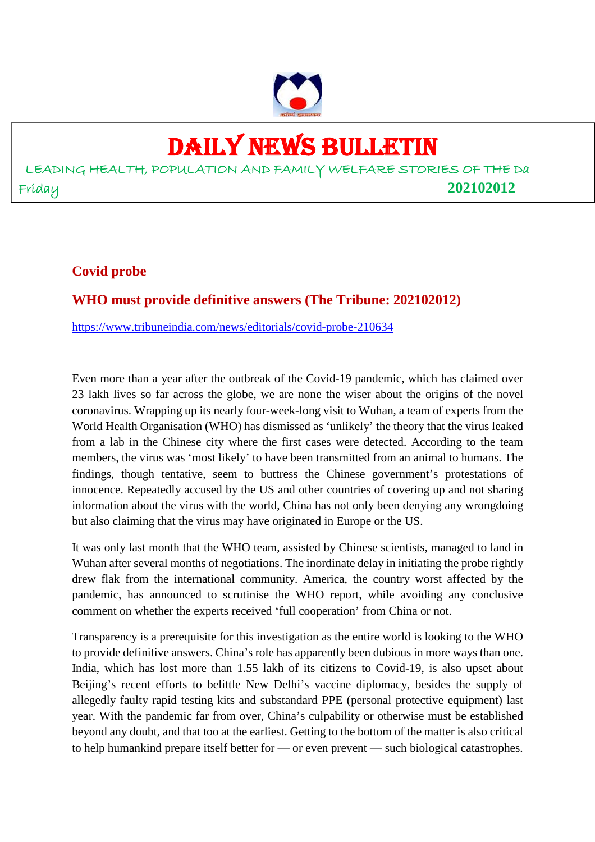

# DAILY NEWS BULLETIN

# LEADING HEALTH, POPULATION AND FAMILY WELFARE STORIES OF THE Da Friday **202102012**

#### **Covid probe**

# **WHO must provide definitive answers (The Tribune: 202102012)**

https://www.tribuneindia.com/news/editorials/covid-probe-210634

Even more than a year after the outbreak of the Covid-19 pandemic, which has claimed over 23 lakh lives so far across the globe, we are none the wiser about the origins of the novel coronavirus. Wrapping up its nearly four-week-long visit to Wuhan, a team of experts from the World Health Organisation (WHO) has dismissed as 'unlikely' the theory that the virus leaked from a lab in the Chinese city where the first cases were detected. According to the team members, the virus was 'most likely' to have been transmitted from an animal to humans. The findings, though tentative, seem to buttress the Chinese government's protestations of innocence. Repeatedly accused by the US and other countries of covering up and not sharing information about the virus with the world, China has not only been denying any wrongdoing but also claiming that the virus may have originated in Europe or the US.

It was only last month that the WHO team, assisted by Chinese scientists, managed to land in Wuhan after several months of negotiations. The inordinate delay in initiating the probe rightly drew flak from the international community. America, the country worst affected by the pandemic, has announced to scrutinise the WHO report, while avoiding any conclusive comment on whether the experts received 'full cooperation' from China or not.

Transparency is a prerequisite for this investigation as the entire world is looking to the WHO to provide definitive answers. China's role has apparently been dubious in more ways than one. India, which has lost more than 1.55 lakh of its citizens to Covid-19, is also upset about Beijing's recent efforts to belittle New Delhi's vaccine diplomacy, besides the supply of allegedly faulty rapid testing kits and substandard PPE (personal protective equipment) last year. With the pandemic far from over, China's culpability or otherwise must be established beyond any doubt, and that too at the earliest. Getting to the bottom of the matter is also critical to help humankind prepare itself better for — or even prevent — such biological catastrophes.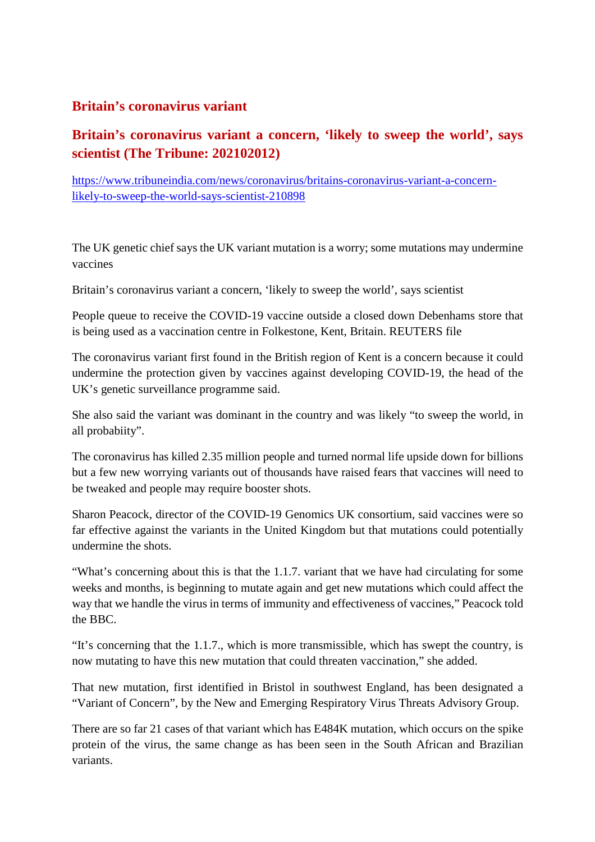#### **Britain's coronavirus variant**

# **Britain's coronavirus variant a concern, 'likely to sweep the world', says scientist (The Tribune: 202102012)**

https://www.tribuneindia.com/news/coronavirus/britains-coronavirus-variant-a-concernlikely-to-sweep-the-world-says-scientist-210898

The UK genetic chief says the UK variant mutation is a worry; some mutations may undermine vaccines

Britain's coronavirus variant a concern, 'likely to sweep the world', says scientist

People queue to receive the COVID-19 vaccine outside a closed down Debenhams store that is being used as a vaccination centre in Folkestone, Kent, Britain. REUTERS file

The coronavirus variant first found in the British region of Kent is a concern because it could undermine the protection given by vaccines against developing COVID-19, the head of the UK's genetic surveillance programme said.

She also said the variant was dominant in the country and was likely "to sweep the world, in all probabiity".

The coronavirus has killed 2.35 million people and turned normal life upside down for billions but a few new worrying variants out of thousands have raised fears that vaccines will need to be tweaked and people may require booster shots.

Sharon Peacock, director of the COVID-19 Genomics UK consortium, said vaccines were so far effective against the variants in the United Kingdom but that mutations could potentially undermine the shots.

"What's concerning about this is that the 1.1.7. variant that we have had circulating for some weeks and months, is beginning to mutate again and get new mutations which could affect the way that we handle the virus in terms of immunity and effectiveness of vaccines," Peacock told the BBC.

"It's concerning that the 1.1.7., which is more transmissible, which has swept the country, is now mutating to have this new mutation that could threaten vaccination," she added.

That new mutation, first identified in Bristol in southwest England, has been designated a "Variant of Concern", by the New and Emerging Respiratory Virus Threats Advisory Group.

There are so far 21 cases of that variant which has E484K mutation, which occurs on the spike protein of the virus, the same change as has been seen in the South African and Brazilian variants.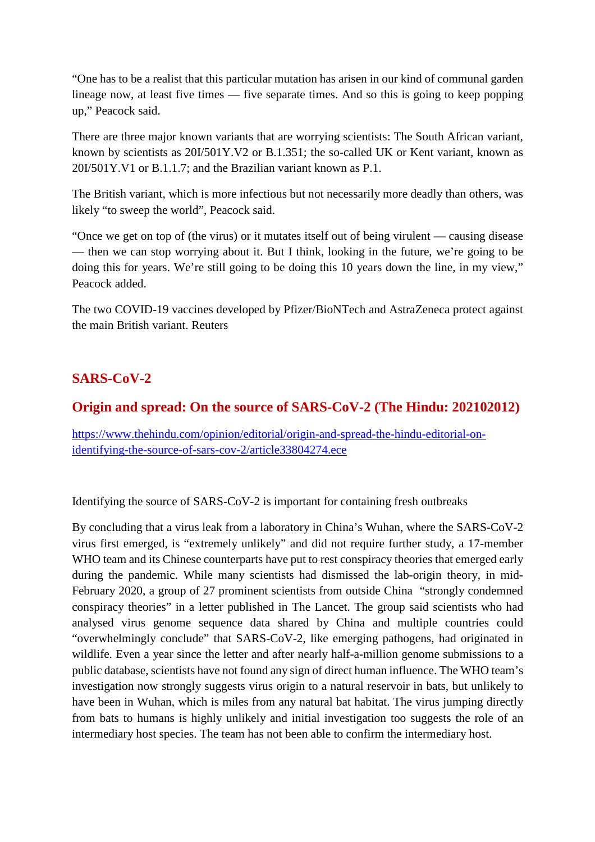"One has to be a realist that this particular mutation has arisen in our kind of communal garden lineage now, at least five times — five separate times. And so this is going to keep popping up," Peacock said.

There are three major known variants that are worrying scientists: The South African variant, known by scientists as 20I/501Y.V2 or B.1.351; the so-called UK or Kent variant, known as 20I/501Y.V1 or B.1.1.7; and the Brazilian variant known as P.1.

The British variant, which is more infectious but not necessarily more deadly than others, was likely "to sweep the world", Peacock said.

"Once we get on top of (the virus) or it mutates itself out of being virulent — causing disease — then we can stop worrying about it. But I think, looking in the future, we're going to be doing this for years. We're still going to be doing this 10 years down the line, in my view," Peacock added.

The two COVID-19 vaccines developed by Pfizer/BioNTech and AstraZeneca protect against the main British variant. Reuters

# **SARS-CoV-2**

# **Origin and spread: On the source of SARS-CoV-2 (The Hindu: 202102012)**

https://www.thehindu.com/opinion/editorial/origin-and-spread-the-hindu-editorial-onidentifying-the-source-of-sars-cov-2/article33804274.ece

Identifying the source of SARS-CoV-2 is important for containing fresh outbreaks

By concluding that a virus leak from a laboratory in China's Wuhan, where the SARS-CoV-2 virus first emerged, is "extremely unlikely" and did not require further study, a 17-member WHO team and its Chinese counterparts have put to rest conspiracy theories that emerged early during the pandemic. While many scientists had dismissed the lab-origin theory, in mid-February 2020, a group of 27 prominent scientists from outside China "strongly condemned conspiracy theories" in a letter published in The Lancet. The group said scientists who had analysed virus genome sequence data shared by China and multiple countries could "overwhelmingly conclude" that SARS-CoV-2, like emerging pathogens, had originated in wildlife. Even a year since the letter and after nearly half-a-million genome submissions to a public database, scientists have not found any sign of direct human influence. The WHO team's investigation now strongly suggests virus origin to a natural reservoir in bats, but unlikely to have been in Wuhan, which is miles from any natural bat habitat. The virus jumping directly from bats to humans is highly unlikely and initial investigation too suggests the role of an intermediary host species. The team has not been able to confirm the intermediary host.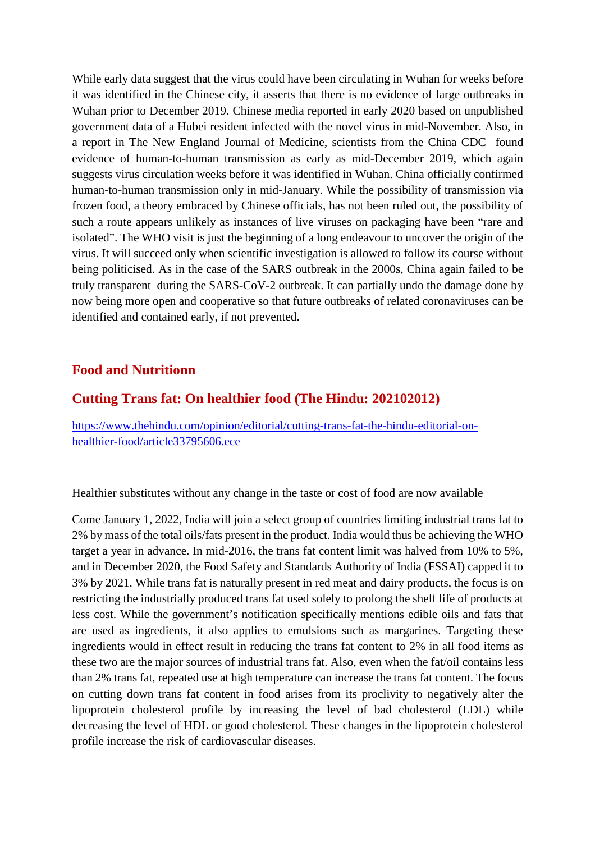While early data suggest that the virus could have been circulating in Wuhan for weeks before it was identified in the Chinese city, it asserts that there is no evidence of large outbreaks in Wuhan prior to December 2019. Chinese media reported in early 2020 based on unpublished government data of a Hubei resident infected with the novel virus in mid-November. Also, in a report in The New England Journal of Medicine, scientists from the China CDC found evidence of human-to-human transmission as early as mid-December 2019, which again suggests virus circulation weeks before it was identified in Wuhan. China officially confirmed human-to-human transmission only in mid-January. While the possibility of transmission via frozen food, a theory embraced by Chinese officials, has not been ruled out, the possibility of such a route appears unlikely as instances of live viruses on packaging have been "rare and isolated". The WHO visit is just the beginning of a long endeavour to uncover the origin of the virus. It will succeed only when scientific investigation is allowed to follow its course without being politicised. As in the case of the SARS outbreak in the 2000s, China again failed to be truly transparent during the SARS-CoV-2 outbreak. It can partially undo the damage done by now being more open and cooperative so that future outbreaks of related coronaviruses can be identified and contained early, if not prevented.

#### **Food and Nutritionn**

#### **Cutting Trans fat: On healthier food (The Hindu: 202102012)**

https://www.thehindu.com/opinion/editorial/cutting-trans-fat-the-hindu-editorial-onhealthier-food/article33795606.ece

Healthier substitutes without any change in the taste or cost of food are now available

Come January 1, 2022, India will join a select group of countries limiting industrial trans fat to 2% by mass of the total oils/fats present in the product. India would thus be achieving the WHO target a year in advance. In mid-2016, the trans fat content limit was halved from 10% to 5%, and in December 2020, the Food Safety and Standards Authority of India (FSSAI) capped it to 3% by 2021. While trans fat is naturally present in red meat and dairy products, the focus is on restricting the industrially produced trans fat used solely to prolong the shelf life of products at less cost. While the government's notification specifically mentions edible oils and fats that are used as ingredients, it also applies to emulsions such as margarines. Targeting these ingredients would in effect result in reducing the trans fat content to 2% in all food items as these two are the major sources of industrial trans fat. Also, even when the fat/oil contains less than 2% trans fat, repeated use at high temperature can increase the trans fat content. The focus on cutting down trans fat content in food arises from its proclivity to negatively alter the lipoprotein cholesterol profile by increasing the level of bad cholesterol (LDL) while decreasing the level of HDL or good cholesterol. These changes in the lipoprotein cholesterol profile increase the risk of cardiovascular diseases.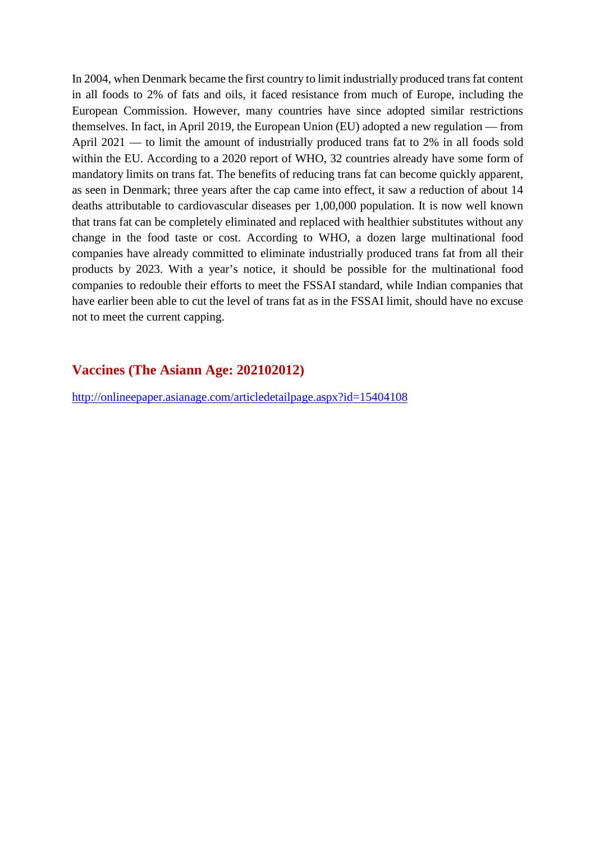In 2004, when Denmark became the first country to limit industrially produced trans fat content in all foods to 2% of fats and oils, it faced resistance from much of Europe, including the European Commission. However, many countries have since adopted similar restrictions themselves. In fact, in April 2019, the European Union (EU) adopted a new regulation — from April 2021 — to limit the amount of industrially produced trans fat to 2% in all foods sold within the EU. According to a 2020 report of WHO, 32 countries already have some form of mandatory limits on trans fat. The benefits of reducing trans fat can become quickly apparent, as seen in Denmark; three years after the cap came into effect, it saw a reduction of about 14 deaths attributable to cardiovascular diseases per 1,00,000 population. It is now well known that trans fat can be completely eliminated and replaced with healthier substitutes without any change in the food taste or cost. According to WHO, a dozen large multinational food companies have already committed to eliminate industrially produced trans fat from all their products by 2023. With a year's notice, it should be possible for the multinational food companies to redouble their efforts to meet the FSSAI standard, while Indian companies that have earlier been able to cut the level of trans fat as in the FSSAI limit, should have no excuse not to meet the current capping.

#### **Vaccines (The Asiann Age: 202102012)**

http://onlineepaper.asianage.com/articledetailpage.aspx?id=15404108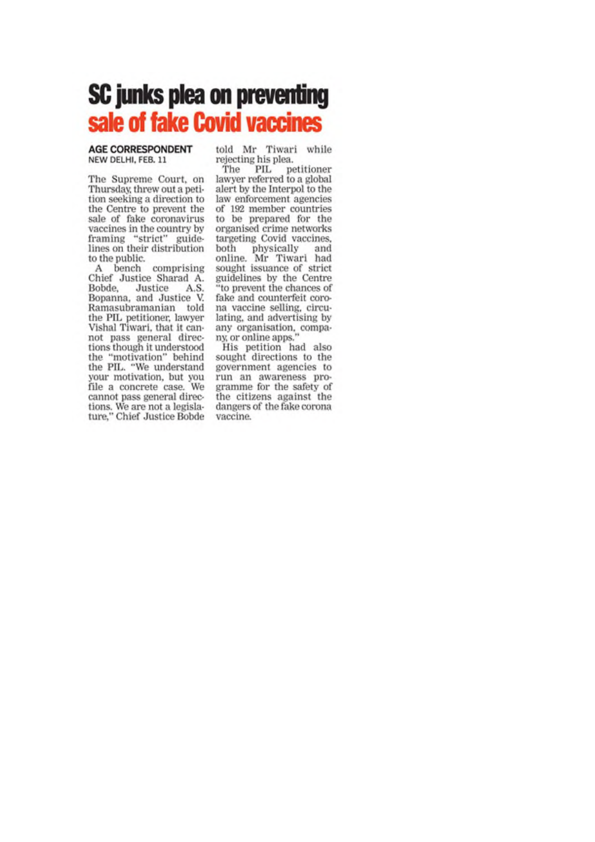# **SC junks plea on preventing** sale of fake Covid vaccines

#### **AGE CORRESPONDENT** NEW DELHI, FEB. 11

The Supreme Court, on Thursday, threw out a petition seeking a direction to the Centre to prevent the sale of fake coronavirus vaccines in the country by framing "strict" guidelines on their distribution to the public.

A bench comprising<br>Chief Justice Sharad A. Bobde, Bobde, Justice A.S.<br>Bopanna, and Justice V. Ramasubramanian told the PIL petitioner, lawyer Vishal Tiwari, that it cannot pass general directions though it understood the "motivation" behind the PIL. "We understand your motivation, but you file a concrete case. We cannot pass general directions. We are not a legislature," Chief Justice Bobde told Mr Tiwari while rejecting his plea.

petitioner  $PIL$ The lawyer referred to a global alert by the Interpol to the law enforcement agencies of 192 member countries to be prepared for the organised crime networks targeting Covid vaccines. physically both and online. Mr Tiwari had<br>sought issuance of strict guidelines by the Centre "to prevent the chances of fake and counterfeit corona vaccine selling, circulating, and advertising by any organisation, company, or online apps.'

His petition had also sought directions to the government agencies to run an awareness programme for the safety of the citizens against the dangers of the fake corona vaccine.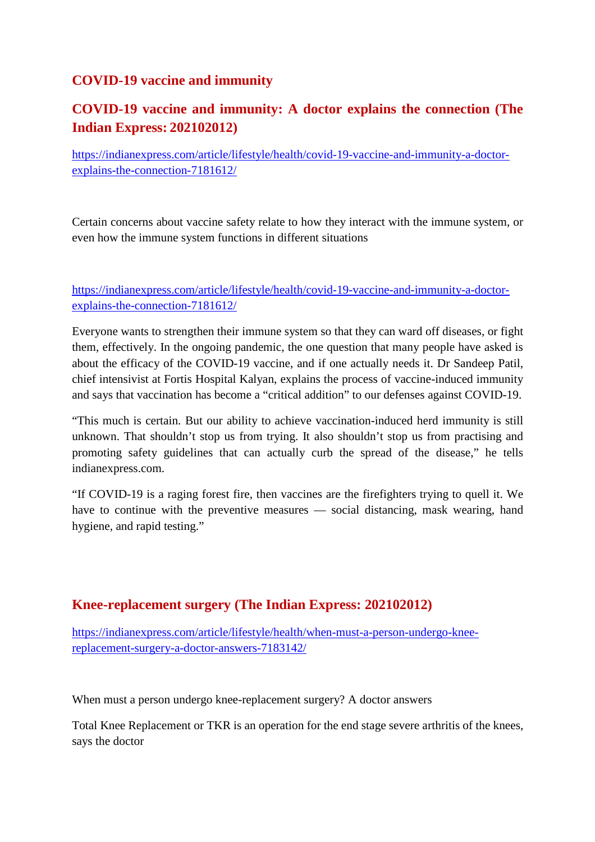### **COVID-19 vaccine and immunity**

# **COVID-19 vaccine and immunity: A doctor explains the connection (The Indian Express: 202102012)**

https://indianexpress.com/article/lifestyle/health/covid-19-vaccine-and-immunity-a-doctorexplains-the-connection-7181612/

Certain concerns about vaccine safety relate to how they interact with the immune system, or even how the immune system functions in different situations

#### https://indianexpress.com/article/lifestyle/health/covid-19-vaccine-and-immunity-a-doctorexplains-the-connection-7181612/

Everyone wants to strengthen their immune system so that they can ward off diseases, or fight them, effectively. In the ongoing pandemic, the one question that many people have asked is about the efficacy of the COVID-19 vaccine, and if one actually needs it. Dr Sandeep Patil, chief intensivist at Fortis Hospital Kalyan, explains the process of vaccine-induced immunity and says that vaccination has become a "critical addition" to our defenses against COVID-19.

"This much is certain. But our ability to achieve vaccination-induced herd immunity is still unknown. That shouldn't stop us from trying. It also shouldn't stop us from practising and promoting safety guidelines that can actually curb the spread of the disease," he tells indianexpress.com.

"If COVID-19 is a raging forest fire, then vaccines are the firefighters trying to quell it. We have to continue with the preventive measures — social distancing, mask wearing, hand hygiene, and rapid testing."

#### **Knee-replacement surgery (The Indian Express: 202102012)**

https://indianexpress.com/article/lifestyle/health/when-must-a-person-undergo-kneereplacement-surgery-a-doctor-answers-7183142/

When must a person undergo knee-replacement surgery? A doctor answers

Total Knee Replacement or TKR is an operation for the end stage severe arthritis of the knees, says the doctor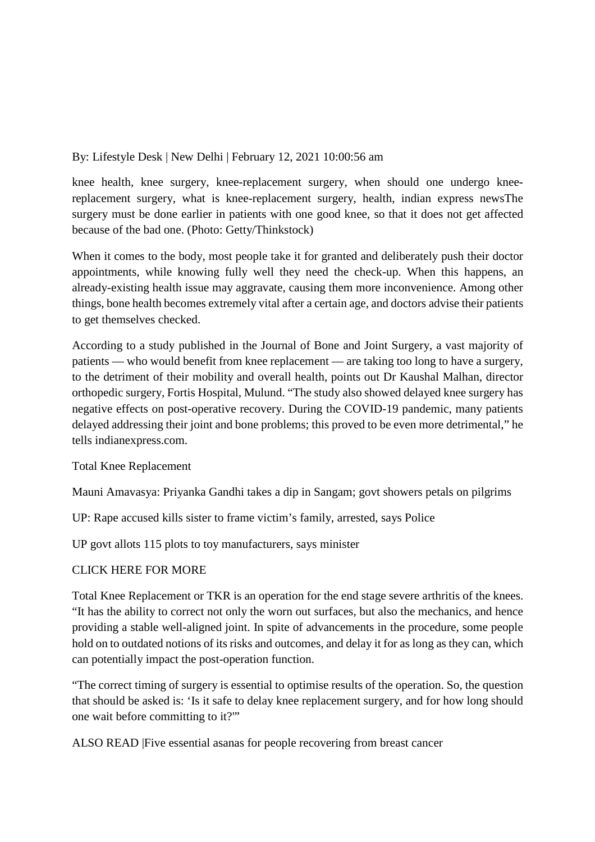#### By: Lifestyle Desk | New Delhi | February 12, 2021 10:00:56 am

knee health, knee surgery, knee-replacement surgery, when should one undergo kneereplacement surgery, what is knee-replacement surgery, health, indian express newsThe surgery must be done earlier in patients with one good knee, so that it does not get affected because of the bad one. (Photo: Getty/Thinkstock)

When it comes to the body, most people take it for granted and deliberately push their doctor appointments, while knowing fully well they need the check-up. When this happens, an already-existing health issue may aggravate, causing them more inconvenience. Among other things, bone health becomes extremely vital after a certain age, and doctors advise their patients to get themselves checked.

According to a study published in the Journal of Bone and Joint Surgery, a vast majority of patients — who would benefit from knee replacement — are taking too long to have a surgery, to the detriment of their mobility and overall health, points out Dr Kaushal Malhan, director orthopedic surgery, Fortis Hospital, Mulund. "The study also showed delayed knee surgery has negative effects on post-operative recovery. During the COVID-19 pandemic, many patients delayed addressing their joint and bone problems; this proved to be even more detrimental," he tells indianexpress.com.

Total Knee Replacement

Mauni Amavasya: Priyanka Gandhi takes a dip in Sangam; govt showers petals on pilgrims

UP: Rape accused kills sister to frame victim's family, arrested, says Police

UP govt allots 115 plots to toy manufacturers, says minister

#### CLICK HERE FOR MORE

Total Knee Replacement or TKR is an operation for the end stage severe arthritis of the knees. "It has the ability to correct not only the worn out surfaces, but also the mechanics, and hence providing a stable well-aligned joint. In spite of advancements in the procedure, some people hold on to outdated notions of its risks and outcomes, and delay it for as long as they can, which can potentially impact the post-operation function.

"The correct timing of surgery is essential to optimise results of the operation. So, the question that should be asked is: 'Is it safe to delay knee replacement surgery, and for how long should one wait before committing to it?'"

ALSO READ |Five essential asanas for people recovering from breast cancer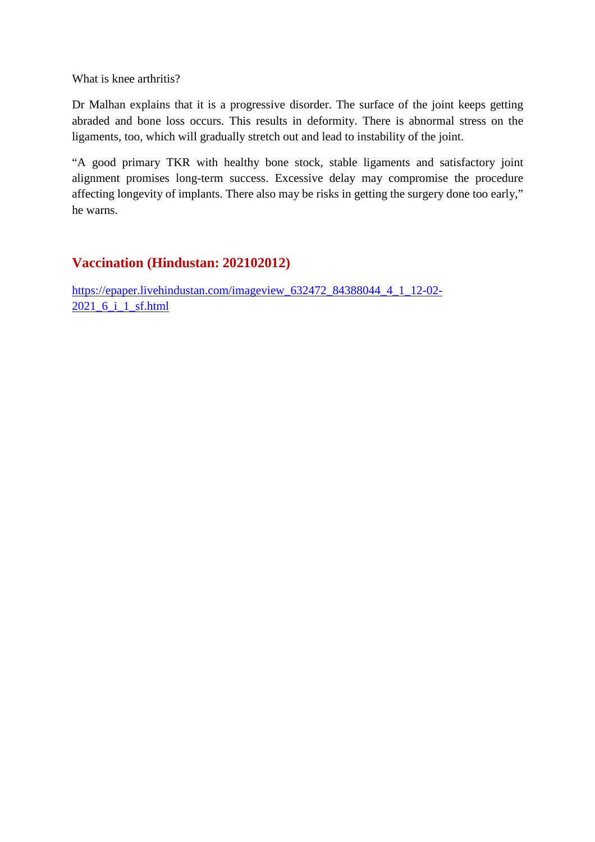What is knee arthritis?

Dr Malhan explains that it is a progressive disorder. The surface of the joint keeps getting abraded and bone loss occurs. This results in deformity. There is abnormal stress on the ligaments, too, which will gradually stretch out and lead to instability of the joint.

"A good primary TKR with healthy bone stock, stable ligaments and satisfactory joint alignment promises long-term success. Excessive delay may compromise the procedure affecting longevity of implants. There also may be risks in getting the surgery done too early," he warns.

# **Vaccination (Hindustan: 202102012)**

https://epaper.livehindustan.com/imageview\_632472\_84388044\_4\_1\_12-02- 2021\_6\_i\_1\_sf.html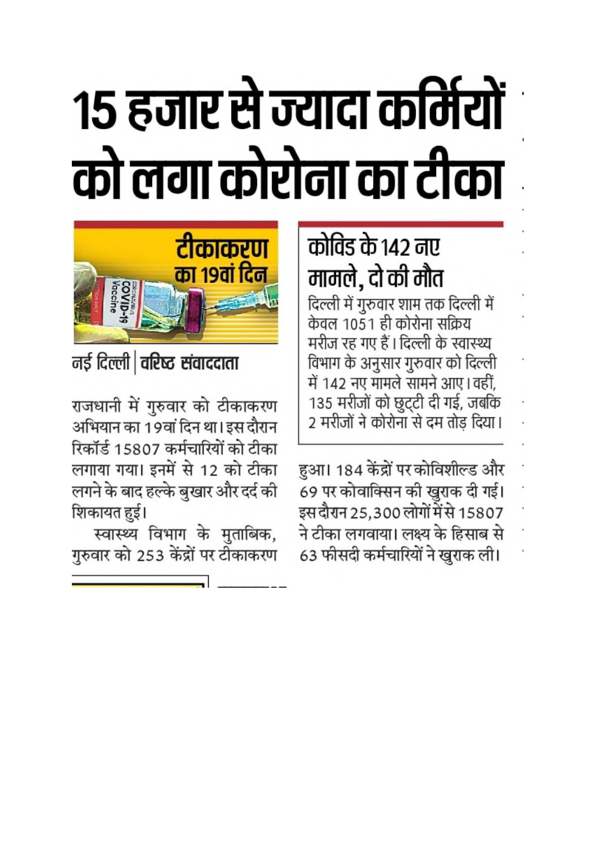# १५ हजार से ज्यादा कर्मियों को लगा कोरोना का टीका

# कोविड के 142 नए मामले, दो की मौत

दिल्ली में गुरुवार शाम तक दिल्ली में केवल 1051 ही कोरोना सक्रिय मरीज रह गए हैं। दिल्ली के स्वास्थ्य विभाग के अनुसार गुरुवार को दिल्ली में 142 नए मामले सामने आए। वहीं. 135 मरीजों को छुट्टी दी गई, जबकि 2 मरीजों ने कोरोना से दम तोड़ दिया।

हुआ। 184 केंद्रों पर कोविशील्ड और 69 पर कोवाक्सिन की खुराक दी गई। इस दौरान 25,300 लोगों में से 15807 ने टीका लगवाया। लक्ष्य के हिसाब से 63 फीसदी कर्मचारियों ने खुराक ली।



नई दिल्ली | वरिष्ट संवाददाता

राजधानी में गुरुवार को टीकाकरण अभियान का 19वां दिन था। इस दौरान रिकॉर्ड 15807 कर्मचारियों को टीका लगाया गया। इनमें से 12 को टीका लगने के बाद हल्के बुखार और दर्द की शिकायत हुई।

स्वास्थ्य विभाग के मुताबिक, गुरुवार को 253 केंद्रों पर टीकाकरण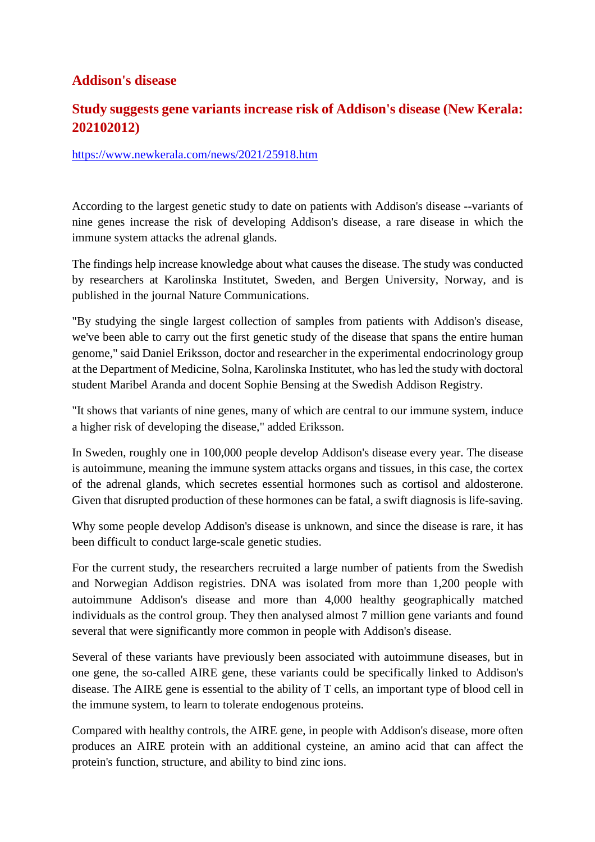## **Addison's disease**

# **Study suggests gene variants increase risk of Addison's disease (New Kerala: 202102012)**

#### https://www.newkerala.com/news/2021/25918.htm

According to the largest genetic study to date on patients with Addison's disease --variants of nine genes increase the risk of developing Addison's disease, a rare disease in which the immune system attacks the adrenal glands.

The findings help increase knowledge about what causes the disease. The study was conducted by researchers at Karolinska Institutet, Sweden, and Bergen University, Norway, and is published in the journal Nature Communications.

"By studying the single largest collection of samples from patients with Addison's disease, we've been able to carry out the first genetic study of the disease that spans the entire human genome," said Daniel Eriksson, doctor and researcher in the experimental endocrinology group at the Department of Medicine, Solna, Karolinska Institutet, who has led the study with doctoral student Maribel Aranda and docent Sophie Bensing at the Swedish Addison Registry.

"It shows that variants of nine genes, many of which are central to our immune system, induce a higher risk of developing the disease," added Eriksson.

In Sweden, roughly one in 100,000 people develop Addison's disease every year. The disease is autoimmune, meaning the immune system attacks organs and tissues, in this case, the cortex of the adrenal glands, which secretes essential hormones such as cortisol and aldosterone. Given that disrupted production of these hormones can be fatal, a swift diagnosis is life-saving.

Why some people develop Addison's disease is unknown, and since the disease is rare, it has been difficult to conduct large-scale genetic studies.

For the current study, the researchers recruited a large number of patients from the Swedish and Norwegian Addison registries. DNA was isolated from more than 1,200 people with autoimmune Addison's disease and more than 4,000 healthy geographically matched individuals as the control group. They then analysed almost 7 million gene variants and found several that were significantly more common in people with Addison's disease.

Several of these variants have previously been associated with autoimmune diseases, but in one gene, the so-called AIRE gene, these variants could be specifically linked to Addison's disease. The AIRE gene is essential to the ability of T cells, an important type of blood cell in the immune system, to learn to tolerate endogenous proteins.

Compared with healthy controls, the AIRE gene, in people with Addison's disease, more often produces an AIRE protein with an additional cysteine, an amino acid that can affect the protein's function, structure, and ability to bind zinc ions.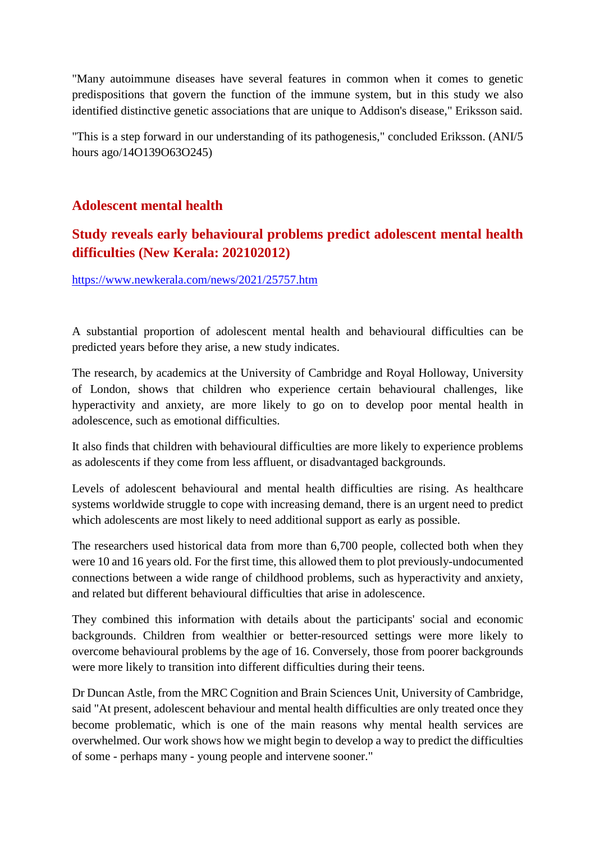"Many autoimmune diseases have several features in common when it comes to genetic predispositions that govern the function of the immune system, but in this study we also identified distinctive genetic associations that are unique to Addison's disease," Eriksson said.

"This is a step forward in our understanding of its pathogenesis," concluded Eriksson. (ANI/5 hours ago/14O139O63O245)

## **Adolescent mental health**

# **Study reveals early behavioural problems predict adolescent mental health difficulties (New Kerala: 202102012)**

https://www.newkerala.com/news/2021/25757.htm

A substantial proportion of adolescent mental health and behavioural difficulties can be predicted years before they arise, a new study indicates.

The research, by academics at the University of Cambridge and Royal Holloway, University of London, shows that children who experience certain behavioural challenges, like hyperactivity and anxiety, are more likely to go on to develop poor mental health in adolescence, such as emotional difficulties.

It also finds that children with behavioural difficulties are more likely to experience problems as adolescents if they come from less affluent, or disadvantaged backgrounds.

Levels of adolescent behavioural and mental health difficulties are rising. As healthcare systems worldwide struggle to cope with increasing demand, there is an urgent need to predict which adolescents are most likely to need additional support as early as possible.

The researchers used historical data from more than 6,700 people, collected both when they were 10 and 16 years old. For the first time, this allowed them to plot previously-undocumented connections between a wide range of childhood problems, such as hyperactivity and anxiety, and related but different behavioural difficulties that arise in adolescence.

They combined this information with details about the participants' social and economic backgrounds. Children from wealthier or better-resourced settings were more likely to overcome behavioural problems by the age of 16. Conversely, those from poorer backgrounds were more likely to transition into different difficulties during their teens.

Dr Duncan Astle, from the MRC Cognition and Brain Sciences Unit, University of Cambridge, said "At present, adolescent behaviour and mental health difficulties are only treated once they become problematic, which is one of the main reasons why mental health services are overwhelmed. Our work shows how we might begin to develop a way to predict the difficulties of some - perhaps many - young people and intervene sooner."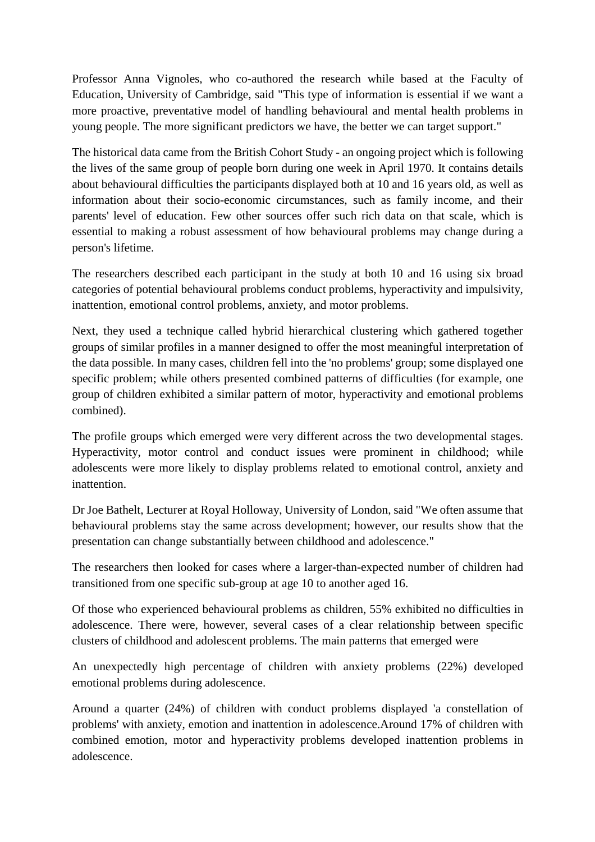Professor Anna Vignoles, who co-authored the research while based at the Faculty of Education, University of Cambridge, said "This type of information is essential if we want a more proactive, preventative model of handling behavioural and mental health problems in young people. The more significant predictors we have, the better we can target support."

The historical data came from the British Cohort Study - an ongoing project which is following the lives of the same group of people born during one week in April 1970. It contains details about behavioural difficulties the participants displayed both at 10 and 16 years old, as well as information about their socio-economic circumstances, such as family income, and their parents' level of education. Few other sources offer such rich data on that scale, which is essential to making a robust assessment of how behavioural problems may change during a person's lifetime.

The researchers described each participant in the study at both 10 and 16 using six broad categories of potential behavioural problems conduct problems, hyperactivity and impulsivity, inattention, emotional control problems, anxiety, and motor problems.

Next, they used a technique called hybrid hierarchical clustering which gathered together groups of similar profiles in a manner designed to offer the most meaningful interpretation of the data possible. In many cases, children fell into the 'no problems' group; some displayed one specific problem; while others presented combined patterns of difficulties (for example, one group of children exhibited a similar pattern of motor, hyperactivity and emotional problems combined).

The profile groups which emerged were very different across the two developmental stages. Hyperactivity, motor control and conduct issues were prominent in childhood; while adolescents were more likely to display problems related to emotional control, anxiety and inattention.

Dr Joe Bathelt, Lecturer at Royal Holloway, University of London, said "We often assume that behavioural problems stay the same across development; however, our results show that the presentation can change substantially between childhood and adolescence."

The researchers then looked for cases where a larger-than-expected number of children had transitioned from one specific sub-group at age 10 to another aged 16.

Of those who experienced behavioural problems as children, 55% exhibited no difficulties in adolescence. There were, however, several cases of a clear relationship between specific clusters of childhood and adolescent problems. The main patterns that emerged were

An unexpectedly high percentage of children with anxiety problems (22%) developed emotional problems during adolescence.

Around a quarter (24%) of children with conduct problems displayed 'a constellation of problems' with anxiety, emotion and inattention in adolescence.Around 17% of children with combined emotion, motor and hyperactivity problems developed inattention problems in adolescence.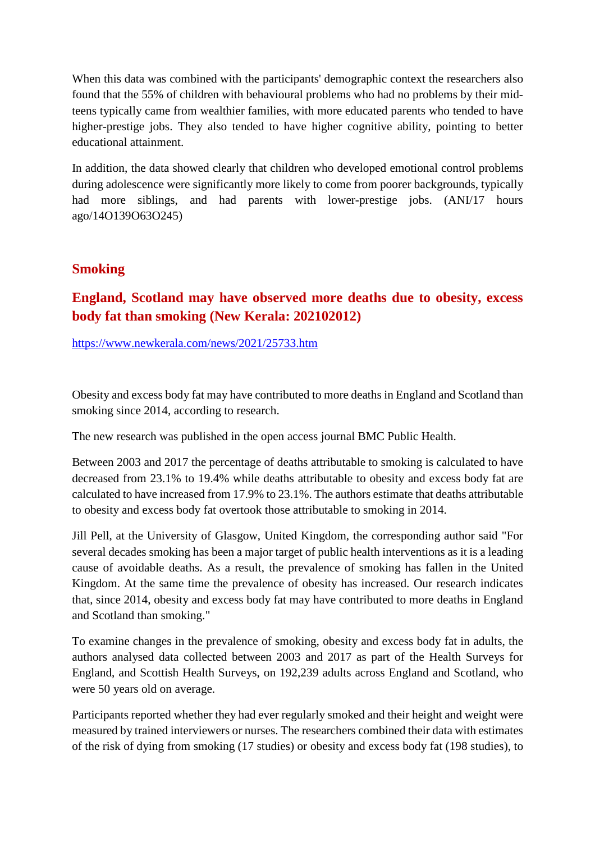When this data was combined with the participants' demographic context the researchers also found that the 55% of children with behavioural problems who had no problems by their midteens typically came from wealthier families, with more educated parents who tended to have higher-prestige jobs. They also tended to have higher cognitive ability, pointing to better educational attainment.

In addition, the data showed clearly that children who developed emotional control problems during adolescence were significantly more likely to come from poorer backgrounds, typically had more siblings, and had parents with lower-prestige jobs. (ANI/17 hours ago/14O139O63O245)

#### **Smoking**

# **England, Scotland may have observed more deaths due to obesity, excess body fat than smoking (New Kerala: 202102012)**

https://www.newkerala.com/news/2021/25733.htm

Obesity and excess body fat may have contributed to more deaths in England and Scotland than smoking since 2014, according to research.

The new research was published in the open access journal BMC Public Health.

Between 2003 and 2017 the percentage of deaths attributable to smoking is calculated to have decreased from 23.1% to 19.4% while deaths attributable to obesity and excess body fat are calculated to have increased from 17.9% to 23.1%. The authors estimate that deaths attributable to obesity and excess body fat overtook those attributable to smoking in 2014.

Jill Pell, at the University of Glasgow, United Kingdom, the corresponding author said "For several decades smoking has been a major target of public health interventions as it is a leading cause of avoidable deaths. As a result, the prevalence of smoking has fallen in the United Kingdom. At the same time the prevalence of obesity has increased. Our research indicates that, since 2014, obesity and excess body fat may have contributed to more deaths in England and Scotland than smoking."

To examine changes in the prevalence of smoking, obesity and excess body fat in adults, the authors analysed data collected between 2003 and 2017 as part of the Health Surveys for England, and Scottish Health Surveys, on 192,239 adults across England and Scotland, who were 50 years old on average.

Participants reported whether they had ever regularly smoked and their height and weight were measured by trained interviewers or nurses. The researchers combined their data with estimates of the risk of dying from smoking (17 studies) or obesity and excess body fat (198 studies), to